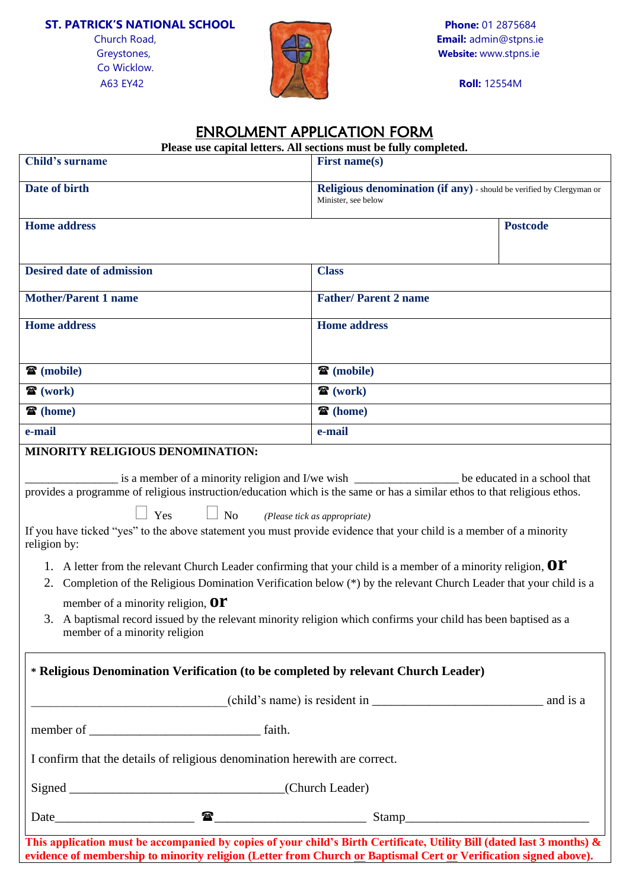## **ST. PATRICK'S NATIONAL SCHOOL Phone:** 01 2875684

Co Wicklow.



|                                                                                                                                                                                                                                                                                                                                                                                                                                                                                                                                                                                                                                                                                                                                                                                | Please use capital letters. All sections must be fully completed.                           |                 |  |  |
|--------------------------------------------------------------------------------------------------------------------------------------------------------------------------------------------------------------------------------------------------------------------------------------------------------------------------------------------------------------------------------------------------------------------------------------------------------------------------------------------------------------------------------------------------------------------------------------------------------------------------------------------------------------------------------------------------------------------------------------------------------------------------------|---------------------------------------------------------------------------------------------|-----------------|--|--|
| Child's surname                                                                                                                                                                                                                                                                                                                                                                                                                                                                                                                                                                                                                                                                                                                                                                | First name(s)                                                                               |                 |  |  |
| Date of birth                                                                                                                                                                                                                                                                                                                                                                                                                                                                                                                                                                                                                                                                                                                                                                  | Religious denomination (if any) - should be verified by Clergyman or<br>Minister, see below |                 |  |  |
| <b>Home address</b>                                                                                                                                                                                                                                                                                                                                                                                                                                                                                                                                                                                                                                                                                                                                                            |                                                                                             | <b>Postcode</b> |  |  |
| <b>Desired date of admission</b>                                                                                                                                                                                                                                                                                                                                                                                                                                                                                                                                                                                                                                                                                                                                               | <b>Class</b>                                                                                |                 |  |  |
| <b>Mother/Parent 1 name</b>                                                                                                                                                                                                                                                                                                                                                                                                                                                                                                                                                                                                                                                                                                                                                    | <b>Father/Parent 2 name</b>                                                                 |                 |  |  |
| <b>Home address</b>                                                                                                                                                                                                                                                                                                                                                                                                                                                                                                                                                                                                                                                                                                                                                            | <b>Home address</b>                                                                         |                 |  |  |
| $\mathbf{\widehat{a}}$ (mobile)                                                                                                                                                                                                                                                                                                                                                                                                                                                                                                                                                                                                                                                                                                                                                | 雷 (mobile)                                                                                  |                 |  |  |
| $\mathbf{\widehat{a}}$ (work)                                                                                                                                                                                                                                                                                                                                                                                                                                                                                                                                                                                                                                                                                                                                                  | $\mathbf{\widehat{a}}$ (work)                                                               |                 |  |  |
| <b>雷</b> (home)                                                                                                                                                                                                                                                                                                                                                                                                                                                                                                                                                                                                                                                                                                                                                                | 雷 (home)                                                                                    |                 |  |  |
| e-mail<br>MINORITY RELIGIOUS DENOMINATION:                                                                                                                                                                                                                                                                                                                                                                                                                                                                                                                                                                                                                                                                                                                                     | e-mail                                                                                      |                 |  |  |
| provides a programme of religious instruction/education which is the same or has a similar ethos to that religious ethos.<br>$\Box$ Yes $\Box$ No<br>If you have ticked "yes" to the above statement you must provide evidence that your child is a member of a minority<br>religion by:<br>1. A letter from the relevant Church Leader confirming that your child is a member of a minority religion, $\mathbf{O}\mathbf{\Gamma}$<br>Completion of the Religious Domination Verification below (*) by the relevant Church Leader that your child is a<br>2.<br>member of a minority religion, $\mathbf{O}\mathbf{\Gamma}$<br>3. A baptismal record issued by the relevant minority religion which confirms your child has been baptised as a<br>member of a minority religion | (Please tick as appropriate)                                                                |                 |  |  |
| * Religious Denomination Verification (to be completed by relevant Church Leader)                                                                                                                                                                                                                                                                                                                                                                                                                                                                                                                                                                                                                                                                                              |                                                                                             |                 |  |  |
|                                                                                                                                                                                                                                                                                                                                                                                                                                                                                                                                                                                                                                                                                                                                                                                |                                                                                             |                 |  |  |
|                                                                                                                                                                                                                                                                                                                                                                                                                                                                                                                                                                                                                                                                                                                                                                                |                                                                                             |                 |  |  |
| I confirm that the details of religious denomination herewith are correct.                                                                                                                                                                                                                                                                                                                                                                                                                                                                                                                                                                                                                                                                                                     |                                                                                             |                 |  |  |
|                                                                                                                                                                                                                                                                                                                                                                                                                                                                                                                                                                                                                                                                                                                                                                                |                                                                                             |                 |  |  |
|                                                                                                                                                                                                                                                                                                                                                                                                                                                                                                                                                                                                                                                                                                                                                                                |                                                                                             |                 |  |  |
| This application must be accompanied by copies of your child's Birth Certificate, Utility Bill (dated last 3 months) $\&$                                                                                                                                                                                                                                                                                                                                                                                                                                                                                                                                                                                                                                                      |                                                                                             |                 |  |  |

**evidence of membership to minority religion (Letter from Church or Baptismal Cert or Verification signed above).**

## ENROLMENT APPLICATION FORM